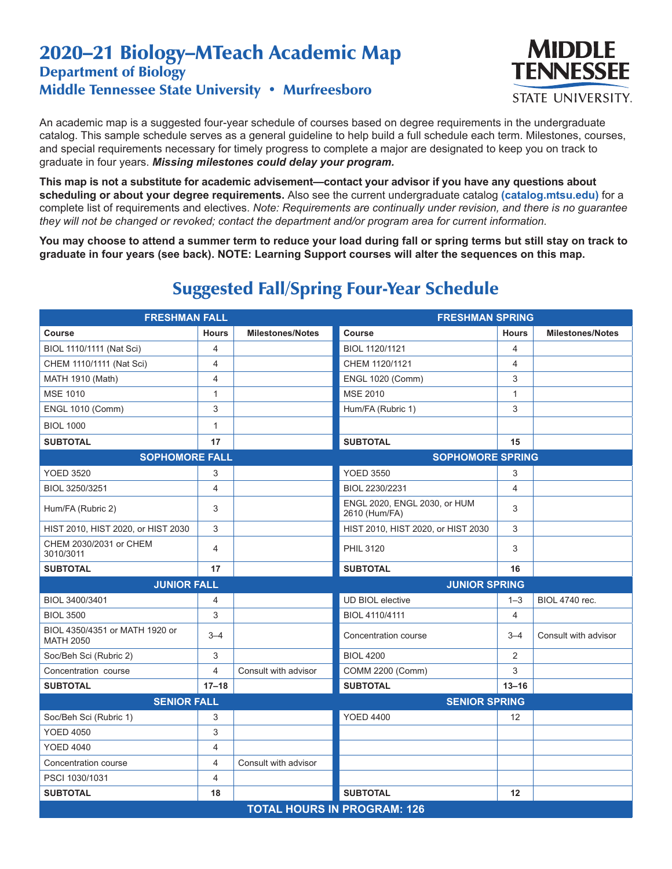## 2020–21 Biology–MTeach Academic Map Department of Biology Middle Tennessee State University • Murfreesboro



An academic map is a suggested four-year schedule of courses based on degree requirements in the undergraduate catalog. This sample schedule serves as a general guideline to help build a full schedule each term. Milestones, courses, and special requirements necessary for timely progress to complete a major are designated to keep you on track to graduate in four years. *Missing milestones could delay your program.*

**This map is not a substitute for academic advisement—contact your advisor if you have any questions about scheduling or about your degree requirements.** Also see the current undergraduate catalog **(catalog.mtsu.edu)** for a complete list of requirements and electives. *Note: Requirements are continually under revision, and there is no guarantee they will not be changed or revoked; contact the department and/or program area for current information.*

**You may choose to attend a summer term to reduce your load during fall or spring terms but still stay on track to graduate in four years (see back). NOTE: Learning Support courses will alter the sequences on this map.**

| <b>FRESHMAN FALL</b>                               |                |                         | <b>FRESHMAN SPRING</b>                        |                |                         |  |  |
|----------------------------------------------------|----------------|-------------------------|-----------------------------------------------|----------------|-------------------------|--|--|
| Course                                             | <b>Hours</b>   | <b>Milestones/Notes</b> | <b>Course</b>                                 | <b>Hours</b>   | <b>Milestones/Notes</b> |  |  |
| BIOL 1110/1111 (Nat Sci)                           | 4              |                         | BIOL 1120/1121                                | 4              |                         |  |  |
| CHEM 1110/1111 (Nat Sci)                           | 4              |                         | CHEM 1120/1121                                | 4              |                         |  |  |
| MATH 1910 (Math)                                   | 4              |                         | <b>ENGL 1020 (Comm)</b>                       | 3              |                         |  |  |
| <b>MSE 1010</b>                                    | $\mathbf{1}$   |                         | <b>MSE 2010</b>                               | $\mathbf{1}$   |                         |  |  |
| <b>ENGL 1010 (Comm)</b>                            | 3              |                         | Hum/FA (Rubric 1)                             | 3              |                         |  |  |
| <b>BIOL 1000</b>                                   | $\mathbf{1}$   |                         |                                               |                |                         |  |  |
| <b>SUBTOTAL</b>                                    | 17             |                         | <b>SUBTOTAL</b>                               | 15             |                         |  |  |
| <b>SOPHOMORE FALL</b>                              |                |                         | <b>SOPHOMORE SPRING</b>                       |                |                         |  |  |
| <b>YOED 3520</b>                                   | 3              |                         | <b>YOED 3550</b>                              | 3              |                         |  |  |
| BIOL 3250/3251                                     | 4              |                         | BIOL 2230/2231                                | $\overline{4}$ |                         |  |  |
| Hum/FA (Rubric 2)                                  | 3              |                         | ENGL 2020, ENGL 2030, or HUM<br>2610 (Hum/FA) | 3              |                         |  |  |
| HIST 2010, HIST 2020, or HIST 2030                 | 3              |                         | HIST 2010, HIST 2020, or HIST 2030            | 3              |                         |  |  |
| CHEM 2030/2031 or CHEM<br>3010/3011                | 4              |                         | <b>PHIL 3120</b>                              | 3              |                         |  |  |
| <b>SUBTOTAL</b>                                    | 17             |                         | <b>SUBTOTAL</b>                               | 16             |                         |  |  |
| <b>JUNIOR FALL</b>                                 |                |                         | <b>JUNIOR SPRING</b>                          |                |                         |  |  |
| BIOL 3400/3401                                     | 4              |                         | <b>UD BIOL elective</b>                       | $1 - 3$        | <b>BIOL 4740 rec.</b>   |  |  |
| <b>BIOL 3500</b>                                   | 3              |                         | BIOL 4110/4111                                | 4              |                         |  |  |
| BIOL 4350/4351 or MATH 1920 or<br><b>MATH 2050</b> | $3 - 4$        |                         | Concentration course                          | $3 - 4$        | Consult with advisor    |  |  |
| Soc/Beh Sci (Rubric 2)                             | 3              |                         | <b>BIOL 4200</b>                              | 2              |                         |  |  |
| Concentration course                               | $\overline{4}$ | Consult with advisor    | <b>COMM 2200 (Comm)</b>                       | 3              |                         |  |  |
| <b>SUBTOTAL</b>                                    | $17 - 18$      |                         | <b>SUBTOTAL</b>                               | $13 - 16$      |                         |  |  |
| <b>SENIOR FALL</b>                                 |                |                         | <b>SENIOR SPRING</b>                          |                |                         |  |  |
| Soc/Beh Sci (Rubric 1)                             | 3              |                         | <b>YOED 4400</b>                              | 12             |                         |  |  |
| <b>YOED 4050</b>                                   | 3              |                         |                                               |                |                         |  |  |
| <b>YOED 4040</b>                                   | 4              |                         |                                               |                |                         |  |  |
| Concentration course                               | 4              | Consult with advisor    |                                               |                |                         |  |  |
| PSCI 1030/1031                                     | 4              |                         |                                               |                |                         |  |  |
| <b>SUBTOTAL</b>                                    | 18             |                         | <b>SUBTOTAL</b>                               | 12             |                         |  |  |
| <b>TOTAL HOURS IN PROGRAM: 126</b>                 |                |                         |                                               |                |                         |  |  |

## Suggested Fall/Spring Four-Year Schedule